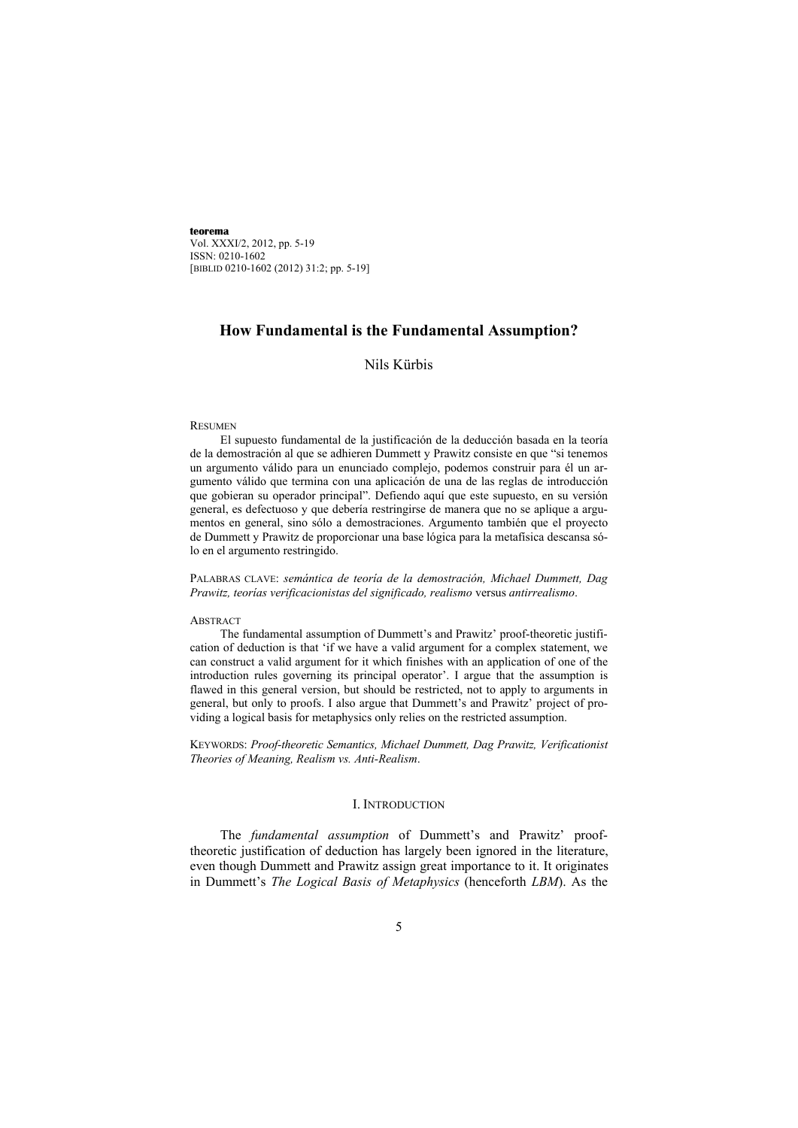# **How Fundamental is the Fundamental Assumption?**

# Nils Kürbis

#### **RESUMEN**

El supuesto fundamental de la justificación de la deducción basada en la teoría de la demostración al que se adhieren Dummett y Prawitz consiste en que "si tenemos un argumento válido para un enunciado complejo, podemos construir para él un argumento válido que termina con una aplicación de una de las reglas de introducción que gobieran su operador principal". Defiendo aquí que este supuesto, en su versión general, es defectuoso y que debería restringirse de manera que no se aplique a argumentos en general, sino sólo a demostraciones. Argumento también que el proyecto de Dummett y Prawitz de proporcionar una base lógica para la metafísica descansa sólo en el argumento restringido.

PALABRAS CLAVE: *semántica de teoría de la demostración, Michael Dummett, Dag Prawitz, teorías verificacionistas del significado, realismo* versus *antirrealismo*.

#### **ABSTRACT**

The fundamental assumption of Dummett's and Prawitz' proof-theoretic justification of deduction is that 'if we have a valid argument for a complex statement, we can construct a valid argument for it which finishes with an application of one of the introduction rules governing its principal operator'. I argue that the assumption is flawed in this general version, but should be restricted, not to apply to arguments in general, but only to proofs. I also argue that Dummett's and Prawitz' project of providing a logical basis for metaphysics only relies on the restricted assumption.

KEYWORDS: *Proof-theoretic Semantics, Michael Dummett, Dag Prawitz, Verificationist Theories of Meaning, Realism vs. Anti-Realism*.

### I. INTRODUCTION

The *fundamental assumption* of Dummett's and Prawitz' prooftheoretic justification of deduction has largely been ignored in the literature, even though Dummett and Prawitz assign great importance to it. It originates in Dummett's *The Logical Basis of Metaphysics* (henceforth *LBM*). As the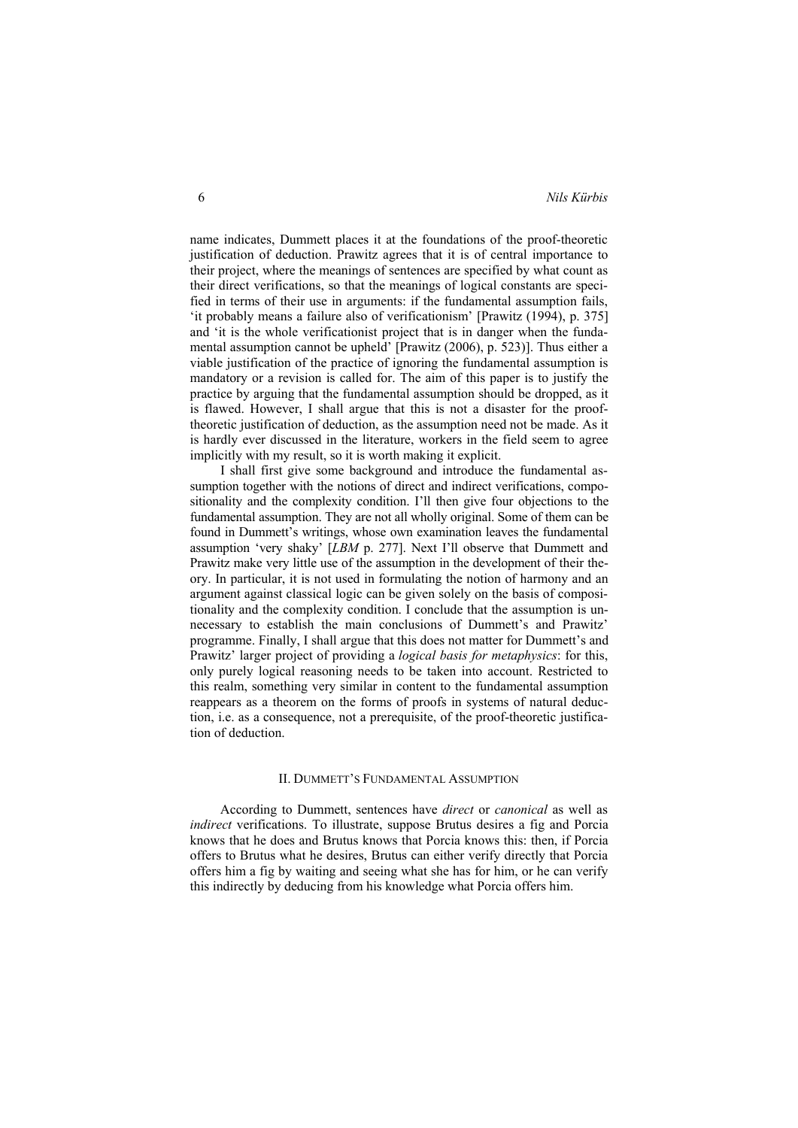name indicates, Dummett places it at the foundations of the proof-theoretic justification of deduction. Prawitz agrees that it is of central importance to their project, where the meanings of sentences are specified by what count as their direct verifications, so that the meanings of logical constants are specified in terms of their use in arguments: if the fundamental assumption fails, 'it probably means a failure also of verificationism' [Prawitz (1994), p. 375] and 'it is the whole verificationist project that is in danger when the fundamental assumption cannot be upheld' [Prawitz (2006), p. 523)]. Thus either a viable justification of the practice of ignoring the fundamental assumption is mandatory or a revision is called for. The aim of this paper is to justify the practice by arguing that the fundamental assumption should be dropped, as it is flawed. However, I shall argue that this is not a disaster for the prooftheoretic justification of deduction, as the assumption need not be made. As it is hardly ever discussed in the literature, workers in the field seem to agree implicitly with my result, so it is worth making it explicit.

I shall first give some background and introduce the fundamental assumption together with the notions of direct and indirect verifications, compositionality and the complexity condition. I'll then give four objections to the fundamental assumption. They are not all wholly original. Some of them can be found in Dummett's writings, whose own examination leaves the fundamental assumption 'very shaky' [*LBM* p. 277]. Next I'll observe that Dummett and Prawitz make very little use of the assumption in the development of their theory. In particular, it is not used in formulating the notion of harmony and an argument against classical logic can be given solely on the basis of compositionality and the complexity condition. I conclude that the assumption is unnecessary to establish the main conclusions of Dummett's and Prawitz' programme. Finally, I shall argue that this does not matter for Dummett's and Prawitz' larger project of providing a *logical basis for metaphysics*: for this, only purely logical reasoning needs to be taken into account. Restricted to this realm, something very similar in content to the fundamental assumption reappears as a theorem on the forms of proofs in systems of natural deduction, i.e. as a consequence, not a prerequisite, of the proof-theoretic justification of deduction.

## II. DUMMETT'S FUNDAMENTAL ASSUMPTION

According to Dummett, sentences have *direct* or *canonical* as well as *indirect* verifications. To illustrate, suppose Brutus desires a fig and Porcia knows that he does and Brutus knows that Porcia knows this: then, if Porcia offers to Brutus what he desires, Brutus can either verify directly that Porcia offers him a fig by waiting and seeing what she has for him, or he can verify this indirectly by deducing from his knowledge what Porcia offers him.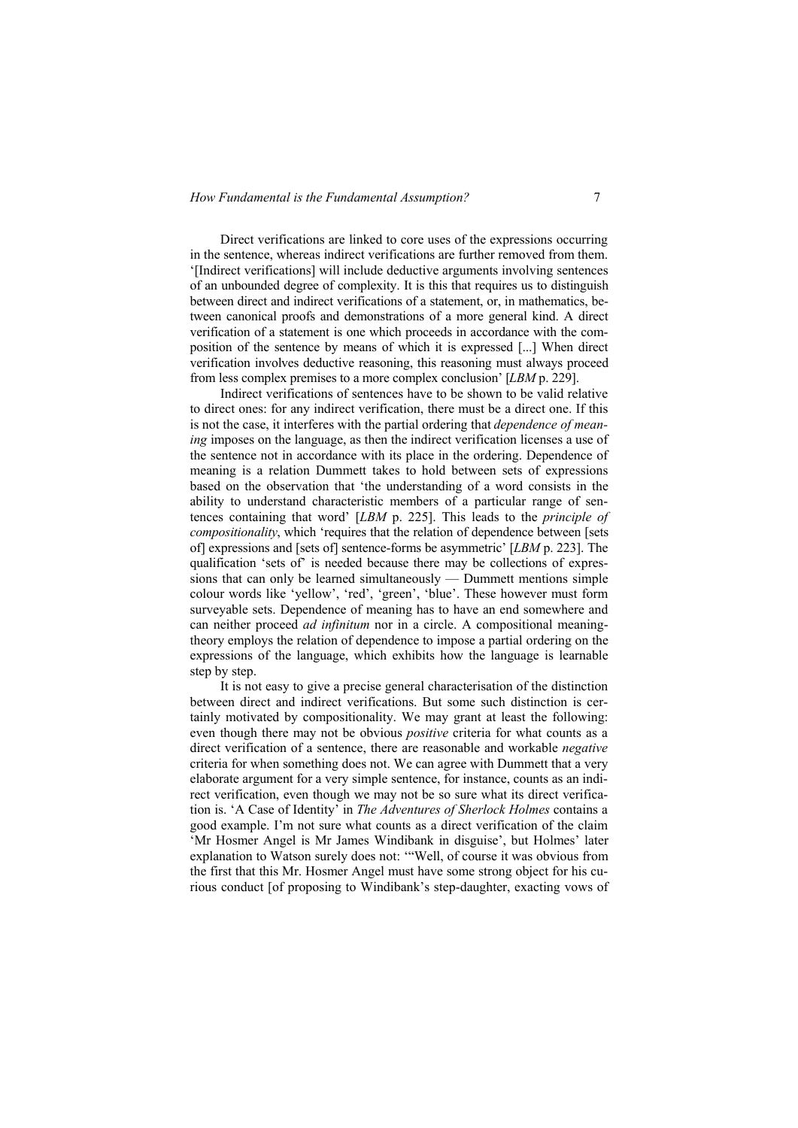Direct verifications are linked to core uses of the expressions occurring in the sentence, whereas indirect verifications are further removed from them. '[Indirect verifications] will include deductive arguments involving sentences of an unbounded degree of complexity. It is this that requires us to distinguish between direct and indirect verifications of a statement, or, in mathematics, between canonical proofs and demonstrations of a more general kind. A direct verification of a statement is one which proceeds in accordance with the composition of the sentence by means of which it is expressed [...] When direct verification involves deductive reasoning, this reasoning must always proceed from less complex premises to a more complex conclusion' [*LBM* p. 229].

Indirect verifications of sentences have to be shown to be valid relative to direct ones: for any indirect verification, there must be a direct one. If this is not the case, it interferes with the partial ordering that *dependence of meaning* imposes on the language, as then the indirect verification licenses a use of the sentence not in accordance with its place in the ordering. Dependence of meaning is a relation Dummett takes to hold between sets of expressions based on the observation that 'the understanding of a word consists in the ability to understand characteristic members of a particular range of sentences containing that word' [*LBM* p. 225]. This leads to the *principle of compositionality*, which 'requires that the relation of dependence between [sets of] expressions and [sets of] sentence-forms be asymmetric' [*LBM* p. 223]. The qualification 'sets of' is needed because there may be collections of expressions that can only be learned simultaneously — Dummett mentions simple colour words like 'yellow', 'red', 'green', 'blue'. These however must form surveyable sets. Dependence of meaning has to have an end somewhere and can neither proceed *ad infinitum* nor in a circle. A compositional meaningtheory employs the relation of dependence to impose a partial ordering on the expressions of the language, which exhibits how the language is learnable step by step.

It is not easy to give a precise general characterisation of the distinction between direct and indirect verifications. But some such distinction is certainly motivated by compositionality. We may grant at least the following: even though there may not be obvious *positive* criteria for what counts as a direct verification of a sentence, there are reasonable and workable *negative* criteria for when something does not. We can agree with Dummett that a very elaborate argument for a very simple sentence, for instance, counts as an indirect verification, even though we may not be so sure what its direct verification is. 'A Case of Identity' in *The Adventures of Sherlock Holmes* contains a good example. I'm not sure what counts as a direct verification of the claim 'Mr Hosmer Angel is Mr James Windibank in disguise', but Holmes' later explanation to Watson surely does not: '"Well, of course it was obvious from the first that this Mr. Hosmer Angel must have some strong object for his curious conduct [of proposing to Windibank's step-daughter, exacting vows of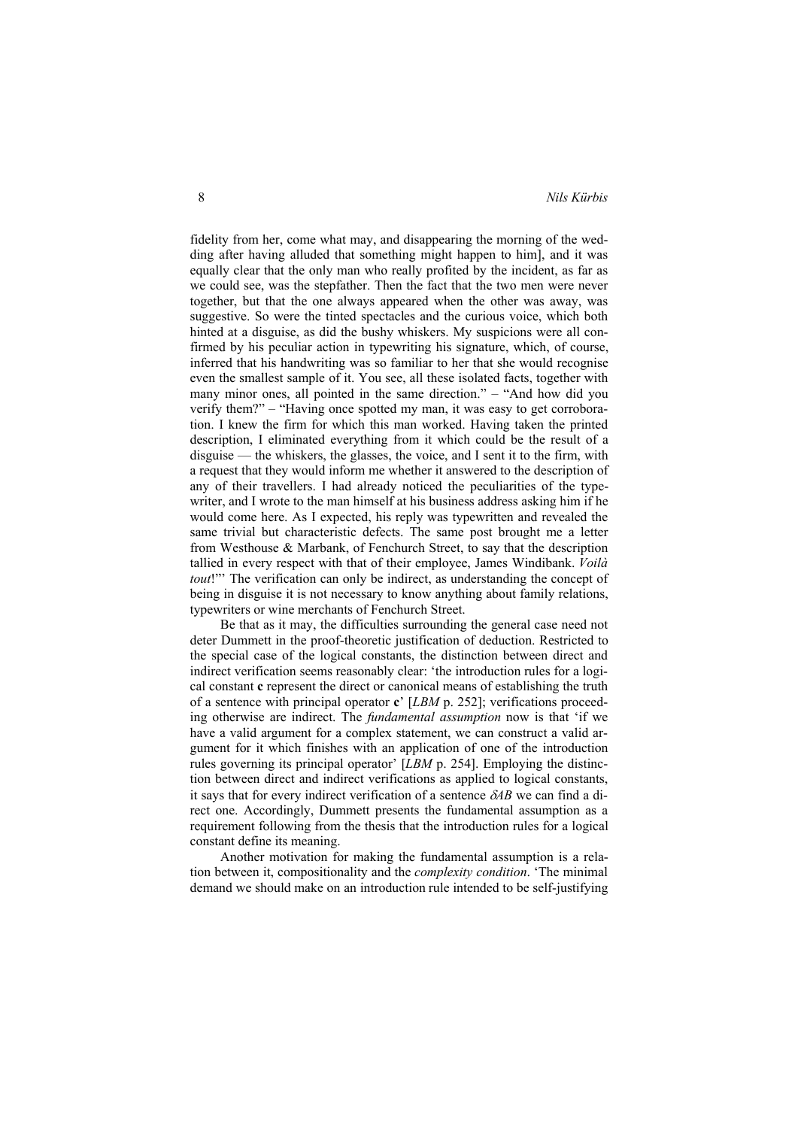fidelity from her, come what may, and disappearing the morning of the wedding after having alluded that something might happen to him], and it was equally clear that the only man who really profited by the incident, as far as we could see, was the stepfather. Then the fact that the two men were never together, but that the one always appeared when the other was away, was suggestive. So were the tinted spectacles and the curious voice, which both hinted at a disguise, as did the bushy whiskers. My suspicions were all confirmed by his peculiar action in typewriting his signature, which, of course, inferred that his handwriting was so familiar to her that she would recognise even the smallest sample of it. You see, all these isolated facts, together with many minor ones, all pointed in the same direction." – "And how did you verify them?" – "Having once spotted my man, it was easy to get corroboration. I knew the firm for which this man worked. Having taken the printed description, I eliminated everything from it which could be the result of a disguise — the whiskers, the glasses, the voice, and I sent it to the firm, with a request that they would inform me whether it answered to the description of any of their travellers. I had already noticed the peculiarities of the typewriter, and I wrote to the man himself at his business address asking him if he would come here. As I expected, his reply was typewritten and revealed the same trivial but characteristic defects. The same post brought me a letter from Westhouse & Marbank, of Fenchurch Street, to say that the description tallied in every respect with that of their employee, James Windibank. *Voilà tout*!" The verification can only be indirect, as understanding the concept of being in disguise it is not necessary to know anything about family relations, typewriters or wine merchants of Fenchurch Street.

Be that as it may, the difficulties surrounding the general case need not deter Dummett in the proof-theoretic justification of deduction. Restricted to the special case of the logical constants, the distinction between direct and indirect verification seems reasonably clear: 'the introduction rules for a logical constant **c** represent the direct or canonical means of establishing the truth of a sentence with principal operator **c**' [*LBM* p. 252]; verifications proceeding otherwise are indirect. The *fundamental assumption* now is that 'if we have a valid argument for a complex statement, we can construct a valid argument for it which finishes with an application of one of the introduction rules governing its principal operator' [*LBM* p. 254]. Employing the distinction between direct and indirect verifications as applied to logical constants, it says that for every indirect verification of a sentence  $\delta AB$  we can find a direct one. Accordingly, Dummett presents the fundamental assumption as a requirement following from the thesis that the introduction rules for a logical constant define its meaning.

Another motivation for making the fundamental assumption is a relation between it, compositionality and the *complexity condition*. 'The minimal demand we should make on an introduction rule intended to be self-justifying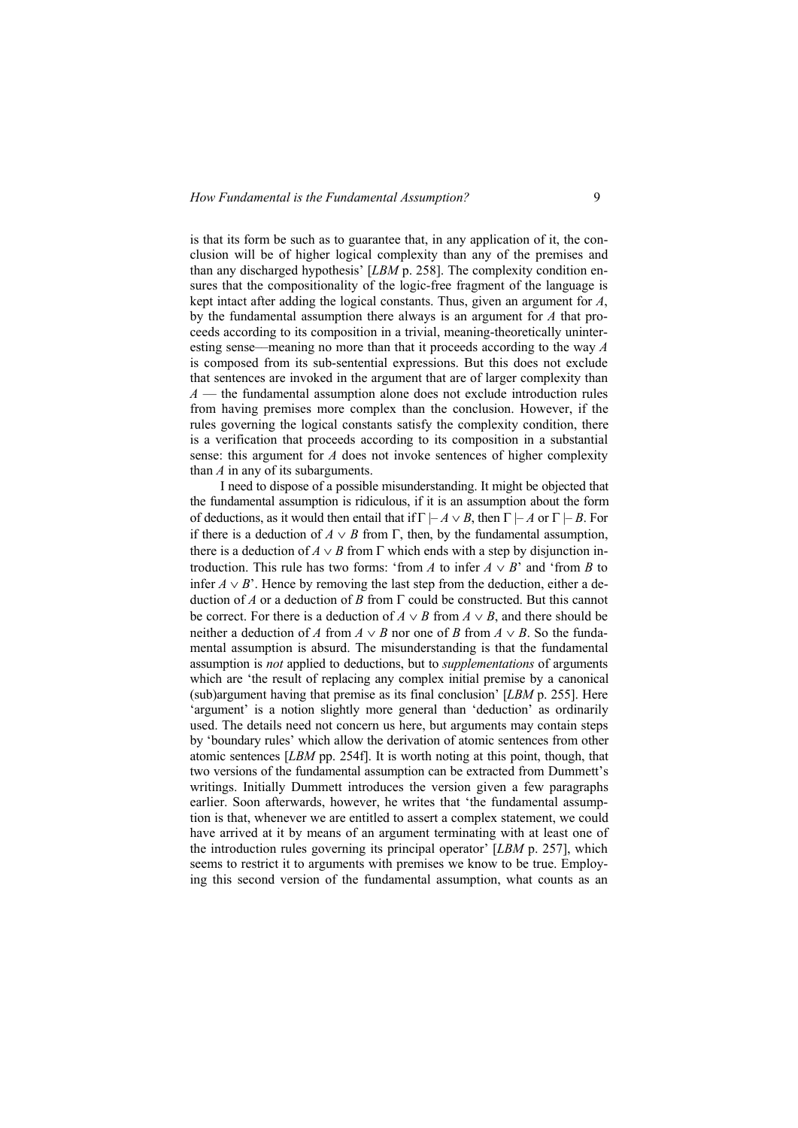is that its form be such as to guarantee that, in any application of it, the conclusion will be of higher logical complexity than any of the premises and than any discharged hypothesis' [*LBM* p. 258]. The complexity condition ensures that the compositionality of the logic-free fragment of the language is kept intact after adding the logical constants. Thus, given an argument for *A*, by the fundamental assumption there always is an argument for *A* that proceeds according to its composition in a trivial, meaning-theoretically uninteresting sense––meaning no more than that it proceeds according to the way *A* is composed from its sub-sentential expressions. But this does not exclude that sentences are invoked in the argument that are of larger complexity than *A* — the fundamental assumption alone does not exclude introduction rules from having premises more complex than the conclusion. However, if the rules governing the logical constants satisfy the complexity condition, there is a verification that proceeds according to its composition in a substantial sense: this argument for *A* does not invoke sentences of higher complexity than *A* in any of its subarguments.

I need to dispose of a possible misunderstanding. It might be objected that the fundamental assumption is ridiculous, if it is an assumption about the form of deductions, as it would then entail that if  $\Gamma \vdash A \lor B$ , then  $\Gamma \vdash A$  or  $\Gamma \vdash B$ . For if there is a deduction of  $A \vee B$  from  $\Gamma$ , then, by the fundamental assumption, there is a deduction of  $A \vee B$  from  $\Gamma$  which ends with a step by disjunction introduction. This rule has two forms: 'from *A* to infer  $A \vee B$ ' and 'from *B* to infer  $A \vee B'$ . Hence by removing the last step from the deduction, either a deduction of *A* or a deduction of *B* from  $\Gamma$  could be constructed. But this cannot be correct. For there is a deduction of  $A \vee B$  from  $A \vee B$ , and there should be neither a deduction of *A* from  $A \vee B$  nor one of *B* from  $A \vee B$ . So the fundamental assumption is absurd. The misunderstanding is that the fundamental assumption is *not* applied to deductions, but to *supplementations* of arguments which are 'the result of replacing any complex initial premise by a canonical (sub)argument having that premise as its final conclusion' [*LBM* p. 255]. Here 'argument' is a notion slightly more general than 'deduction' as ordinarily used. The details need not concern us here, but arguments may contain steps by 'boundary rules' which allow the derivation of atomic sentences from other atomic sentences [*LBM* pp. 254f]. It is worth noting at this point, though, that two versions of the fundamental assumption can be extracted from Dummett's writings. Initially Dummett introduces the version given a few paragraphs earlier. Soon afterwards, however, he writes that 'the fundamental assumption is that, whenever we are entitled to assert a complex statement, we could have arrived at it by means of an argument terminating with at least one of the introduction rules governing its principal operator' [*LBM* p. 257], which seems to restrict it to arguments with premises we know to be true. Employing this second version of the fundamental assumption, what counts as an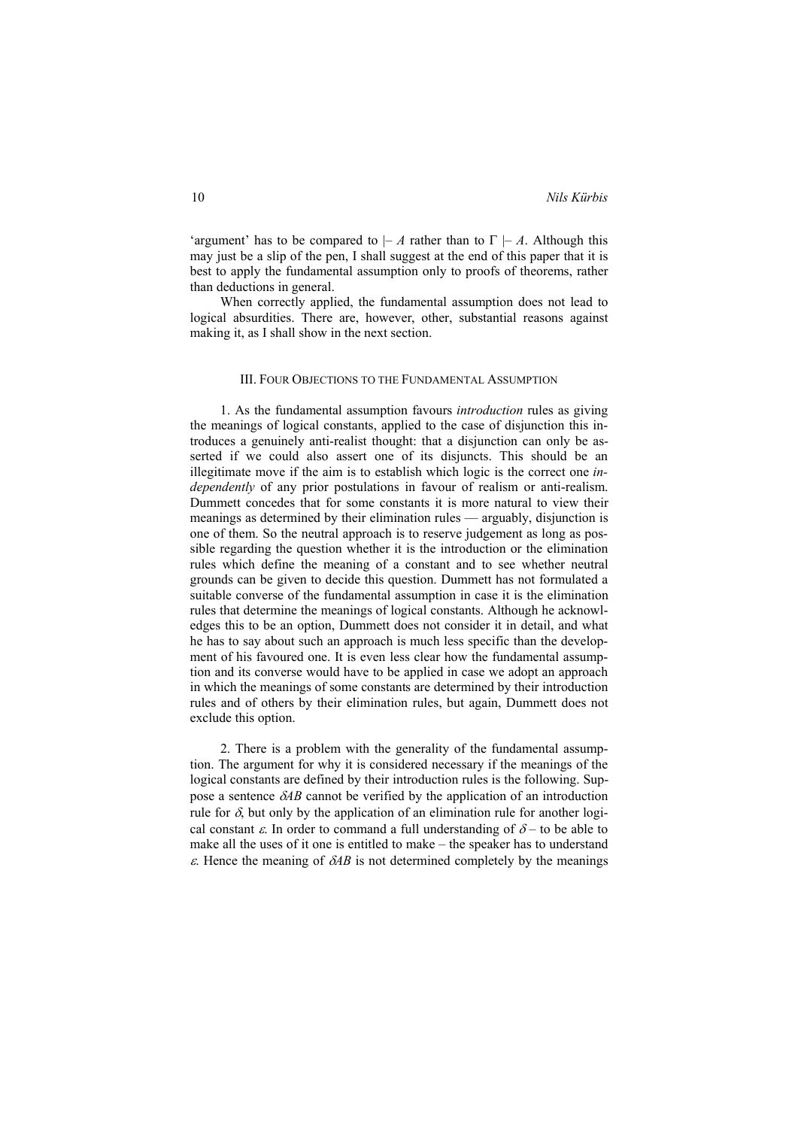'argument' has to be compared to  $-A$  rather than to  $\Gamma \vdash A$ . Although this may just be a slip of the pen, I shall suggest at the end of this paper that it is best to apply the fundamental assumption only to proofs of theorems, rather than deductions in general.

When correctly applied, the fundamental assumption does not lead to logical absurdities. There are, however, other, substantial reasons against making it, as I shall show in the next section.

# III. FOUR OBJECTIONS TO THE FUNDAMENTAL ASSUMPTION

1. As the fundamental assumption favours *introduction* rules as giving the meanings of logical constants, applied to the case of disjunction this introduces a genuinely anti-realist thought: that a disjunction can only be asserted if we could also assert one of its disjuncts. This should be an illegitimate move if the aim is to establish which logic is the correct one *independently* of any prior postulations in favour of realism or anti-realism. Dummett concedes that for some constants it is more natural to view their meanings as determined by their elimination rules –– arguably, disjunction is one of them. So the neutral approach is to reserve judgement as long as possible regarding the question whether it is the introduction or the elimination rules which define the meaning of a constant and to see whether neutral grounds can be given to decide this question. Dummett has not formulated a suitable converse of the fundamental assumption in case it is the elimination rules that determine the meanings of logical constants. Although he acknowledges this to be an option, Dummett does not consider it in detail, and what he has to say about such an approach is much less specific than the development of his favoured one. It is even less clear how the fundamental assumption and its converse would have to be applied in case we adopt an approach in which the meanings of some constants are determined by their introduction rules and of others by their elimination rules, but again, Dummett does not exclude this option.

2. There is a problem with the generality of the fundamental assumption. The argument for why it is considered necessary if the meanings of the logical constants are defined by their introduction rules is the following. Suppose a sentence  $\delta AB$  cannot be verified by the application of an introduction rule for  $\delta$ , but only by the application of an elimination rule for another logical constant  $\varepsilon$ . In order to command a full understanding of  $\delta$  – to be able to make all the uses of it one is entitled to make – the speaker has to understand  $\epsilon$ . Hence the meaning of  $\delta AB$  is not determined completely by the meanings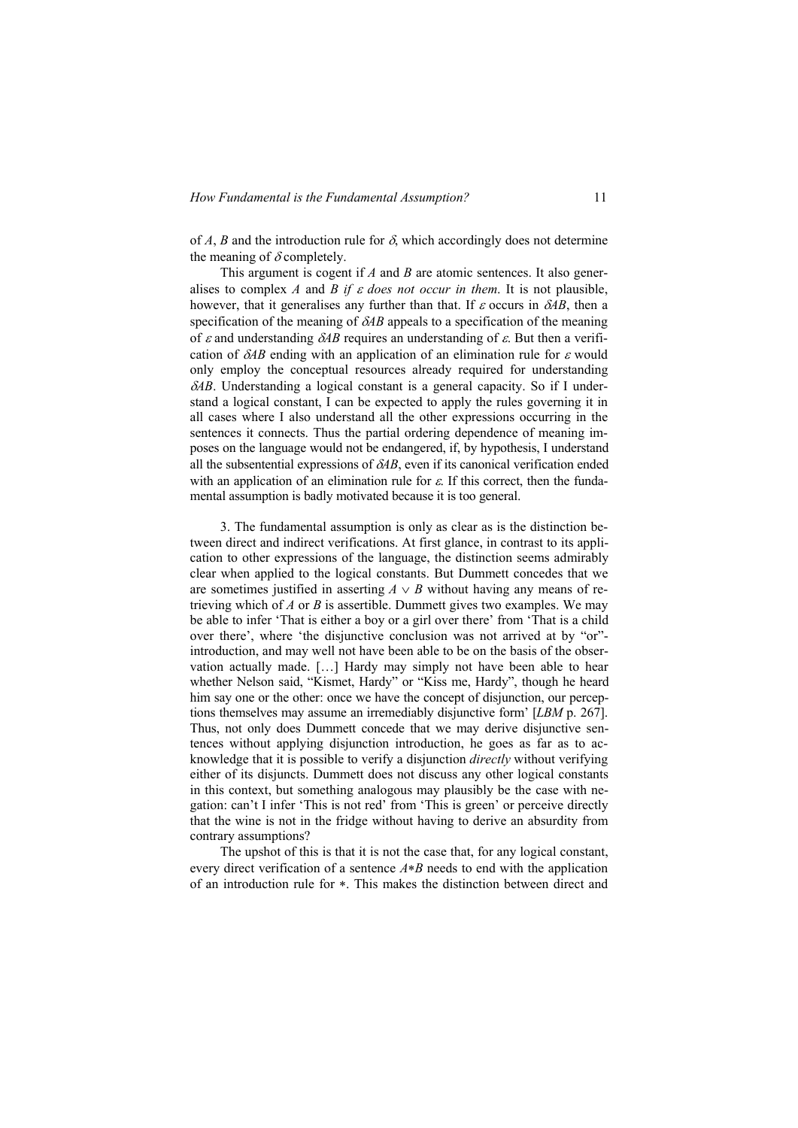of *A*, *B* and the introduction rule for  $\delta$ , which accordingly does not determine the meaning of  $\delta$  completely.

This argument is cogent if *A* and *B* are atomic sentences. It also generalises to complex *A* and *B if*  $\varepsilon$  *does not occur in them*. It is not plausible, however, that it generalises any further than that. If  $\varepsilon$  occurs in  $\delta AB$ , then a specification of the meaning of  $\delta AB$  appeals to a specification of the meaning of  $\varepsilon$  and understanding  $\delta AB$  requires an understanding of  $\varepsilon$ . But then a verification of  $\delta AB$  ending with an application of an elimination rule for  $\varepsilon$  would only employ the conceptual resources already required for understanding  $\delta$ *AB*. Understanding a logical constant is a general capacity. So if I understand a logical constant, I can be expected to apply the rules governing it in all cases where I also understand all the other expressions occurring in the sentences it connects. Thus the partial ordering dependence of meaning imposes on the language would not be endangered, if, by hypothesis, I understand all the subsentential expressions of  $\delta AB$ , even if its canonical verification ended with an application of an elimination rule for  $\varepsilon$ . If this correct, then the fundamental assumption is badly motivated because it is too general.

3. The fundamental assumption is only as clear as is the distinction between direct and indirect verifications. At first glance, in contrast to its application to other expressions of the language, the distinction seems admirably clear when applied to the logical constants. But Dummett concedes that we are sometimes justified in asserting  $A \vee B$  without having any means of retrieving which of *A* or *B* is assertible. Dummett gives two examples. We may be able to infer 'That is either a boy or a girl over there' from 'That is a child over there', where 'the disjunctive conclusion was not arrived at by "or" introduction, and may well not have been able to be on the basis of the observation actually made. […] Hardy may simply not have been able to hear whether Nelson said, "Kismet, Hardy" or "Kiss me, Hardy", though he heard him say one or the other: once we have the concept of disjunction, our perceptions themselves may assume an irremediably disjunctive form' [*LBM* p. 267]. Thus, not only does Dummett concede that we may derive disjunctive sentences without applying disjunction introduction, he goes as far as to acknowledge that it is possible to verify a disjunction *directly* without verifying either of its disjuncts. Dummett does not discuss any other logical constants in this context, but something analogous may plausibly be the case with negation: can't I infer 'This is not red' from 'This is green' or perceive directly that the wine is not in the fridge without having to derive an absurdity from contrary assumptions?

The upshot of this is that it is not the case that, for any logical constant, every direct verification of a sentence  $A*B$  needs to end with the application of an introduction rule for  $\ast$ . This makes the distinction between direct and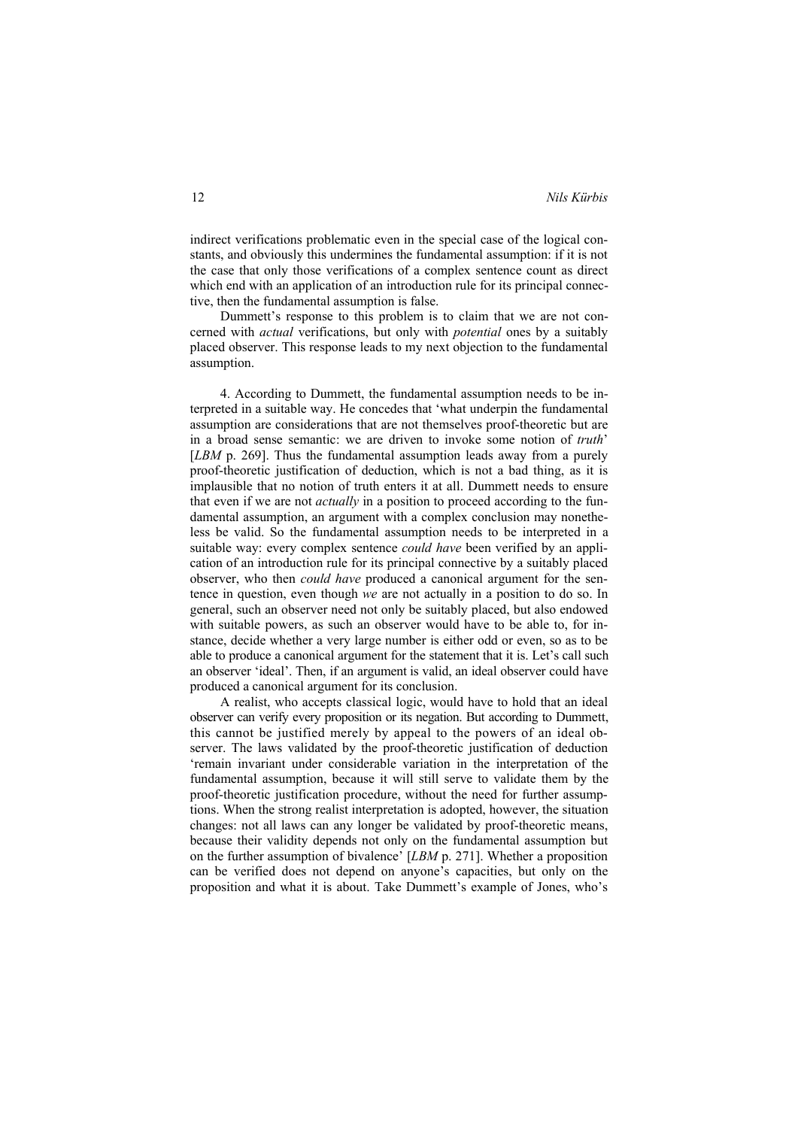indirect verifications problematic even in the special case of the logical constants, and obviously this undermines the fundamental assumption: if it is not the case that only those verifications of a complex sentence count as direct which end with an application of an introduction rule for its principal connective, then the fundamental assumption is false.

Dummett's response to this problem is to claim that we are not concerned with *actual* verifications, but only with *potential* ones by a suitably placed observer. This response leads to my next objection to the fundamental assumption.

4. According to Dummett, the fundamental assumption needs to be interpreted in a suitable way. He concedes that 'what underpin the fundamental assumption are considerations that are not themselves proof-theoretic but are in a broad sense semantic: we are driven to invoke some notion of *truth*' [*LBM* p. 269]. Thus the fundamental assumption leads away from a purely proof-theoretic justification of deduction, which is not a bad thing, as it is implausible that no notion of truth enters it at all. Dummett needs to ensure that even if we are not *actually* in a position to proceed according to the fundamental assumption, an argument with a complex conclusion may nonetheless be valid. So the fundamental assumption needs to be interpreted in a suitable way: every complex sentence *could have* been verified by an application of an introduction rule for its principal connective by a suitably placed observer, who then *could have* produced a canonical argument for the sentence in question, even though *we* are not actually in a position to do so. In general, such an observer need not only be suitably placed, but also endowed with suitable powers, as such an observer would have to be able to, for instance, decide whether a very large number is either odd or even, so as to be able to produce a canonical argument for the statement that it is. Let's call such an observer 'ideal'. Then, if an argument is valid, an ideal observer could have produced a canonical argument for its conclusion.

A realist, who accepts classical logic, would have to hold that an ideal observer can verify every proposition or its negation. But according to Dummett, this cannot be justified merely by appeal to the powers of an ideal observer. The laws validated by the proof-theoretic justification of deduction 'remain invariant under considerable variation in the interpretation of the fundamental assumption, because it will still serve to validate them by the proof-theoretic justification procedure, without the need for further assumptions. When the strong realist interpretation is adopted, however, the situation changes: not all laws can any longer be validated by proof-theoretic means, because their validity depends not only on the fundamental assumption but on the further assumption of bivalence' [*LBM* p. 271]. Whether a proposition can be verified does not depend on anyone's capacities, but only on the proposition and what it is about. Take Dummett's example of Jones, who's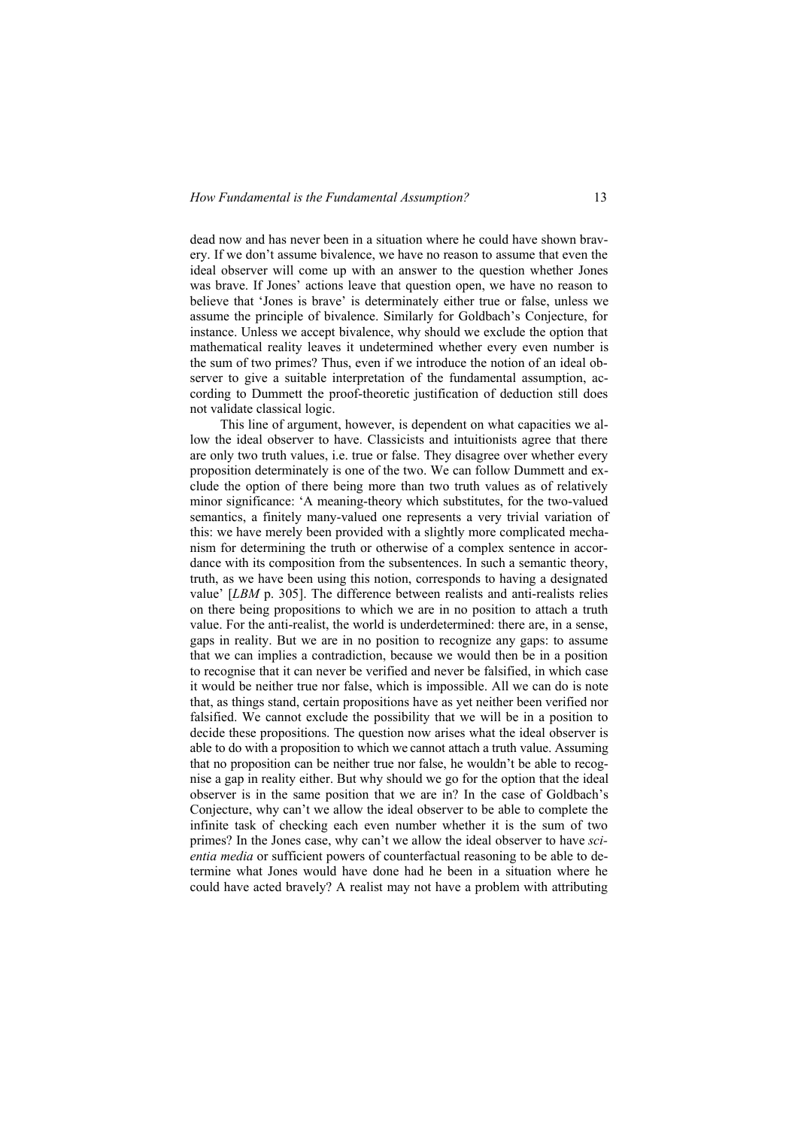dead now and has never been in a situation where he could have shown bravery. If we don't assume bivalence, we have no reason to assume that even the ideal observer will come up with an answer to the question whether Jones was brave. If Jones' actions leave that question open, we have no reason to believe that 'Jones is brave' is determinately either true or false, unless we assume the principle of bivalence. Similarly for Goldbach's Conjecture, for instance. Unless we accept bivalence, why should we exclude the option that mathematical reality leaves it undetermined whether every even number is the sum of two primes? Thus, even if we introduce the notion of an ideal observer to give a suitable interpretation of the fundamental assumption, according to Dummett the proof-theoretic justification of deduction still does not validate classical logic.

This line of argument, however, is dependent on what capacities we allow the ideal observer to have. Classicists and intuitionists agree that there are only two truth values, i.e. true or false. They disagree over whether every proposition determinately is one of the two. We can follow Dummett and exclude the option of there being more than two truth values as of relatively minor significance: 'A meaning-theory which substitutes, for the two-valued semantics, a finitely many-valued one represents a very trivial variation of this: we have merely been provided with a slightly more complicated mechanism for determining the truth or otherwise of a complex sentence in accordance with its composition from the subsentences. In such a semantic theory, truth, as we have been using this notion, corresponds to having a designated value' [*LBM* p. 305]. The difference between realists and anti-realists relies on there being propositions to which we are in no position to attach a truth value. For the anti-realist, the world is underdetermined: there are, in a sense, gaps in reality. But we are in no position to recognize any gaps: to assume that we can implies a contradiction, because we would then be in a position to recognise that it can never be verified and never be falsified, in which case it would be neither true nor false, which is impossible. All we can do is note that, as things stand, certain propositions have as yet neither been verified nor falsified. We cannot exclude the possibility that we will be in a position to decide these propositions. The question now arises what the ideal observer is able to do with a proposition to which we cannot attach a truth value. Assuming that no proposition can be neither true nor false, he wouldn't be able to recognise a gap in reality either. But why should we go for the option that the ideal observer is in the same position that we are in? In the case of Goldbach's Conjecture, why can't we allow the ideal observer to be able to complete the infinite task of checking each even number whether it is the sum of two primes? In the Jones case, why can't we allow the ideal observer to have *scientia media* or sufficient powers of counterfactual reasoning to be able to determine what Jones would have done had he been in a situation where he could have acted bravely? A realist may not have a problem with attributing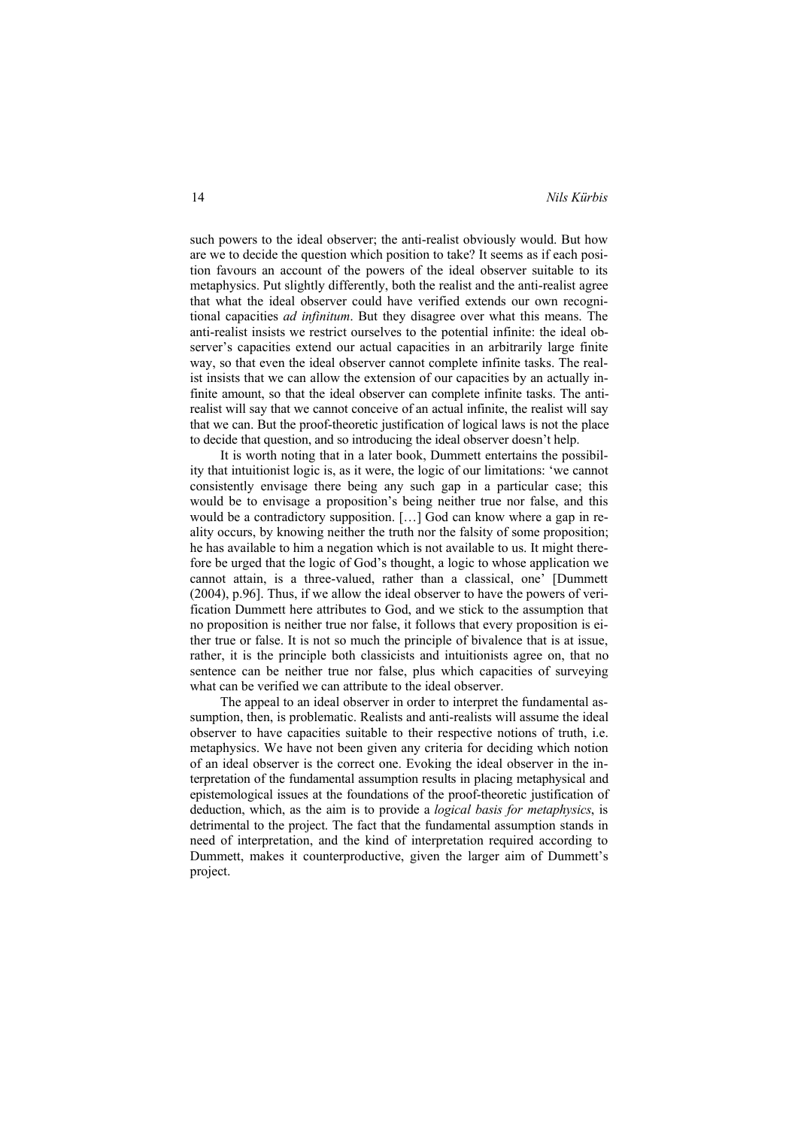such powers to the ideal observer; the anti-realist obviously would. But how are we to decide the question which position to take? It seems as if each position favours an account of the powers of the ideal observer suitable to its metaphysics. Put slightly differently, both the realist and the anti-realist agree that what the ideal observer could have verified extends our own recognitional capacities *ad infinitum*. But they disagree over what this means. The anti-realist insists we restrict ourselves to the potential infinite: the ideal observer's capacities extend our actual capacities in an arbitrarily large finite way, so that even the ideal observer cannot complete infinite tasks. The realist insists that we can allow the extension of our capacities by an actually infinite amount, so that the ideal observer can complete infinite tasks. The antirealist will say that we cannot conceive of an actual infinite, the realist will say that we can. But the proof-theoretic justification of logical laws is not the place to decide that question, and so introducing the ideal observer doesn't help.

It is worth noting that in a later book, Dummett entertains the possibility that intuitionist logic is, as it were, the logic of our limitations: 'we cannot consistently envisage there being any such gap in a particular case; this would be to envisage a proposition's being neither true nor false, and this would be a contradictory supposition. […] God can know where a gap in reality occurs, by knowing neither the truth nor the falsity of some proposition; he has available to him a negation which is not available to us. It might therefore be urged that the logic of God's thought, a logic to whose application we cannot attain, is a three-valued, rather than a classical, one' [Dummett (2004), p.96]. Thus, if we allow the ideal observer to have the powers of verification Dummett here attributes to God, and we stick to the assumption that no proposition is neither true nor false, it follows that every proposition is either true or false. It is not so much the principle of bivalence that is at issue, rather, it is the principle both classicists and intuitionists agree on, that no sentence can be neither true nor false, plus which capacities of surveying what can be verified we can attribute to the ideal observer.

The appeal to an ideal observer in order to interpret the fundamental assumption, then, is problematic. Realists and anti-realists will assume the ideal observer to have capacities suitable to their respective notions of truth, i.e. metaphysics. We have not been given any criteria for deciding which notion of an ideal observer is the correct one. Evoking the ideal observer in the interpretation of the fundamental assumption results in placing metaphysical and epistemological issues at the foundations of the proof-theoretic justification of deduction, which, as the aim is to provide a *logical basis for metaphysics*, is detrimental to the project. The fact that the fundamental assumption stands in need of interpretation, and the kind of interpretation required according to Dummett, makes it counterproductive, given the larger aim of Dummett's project.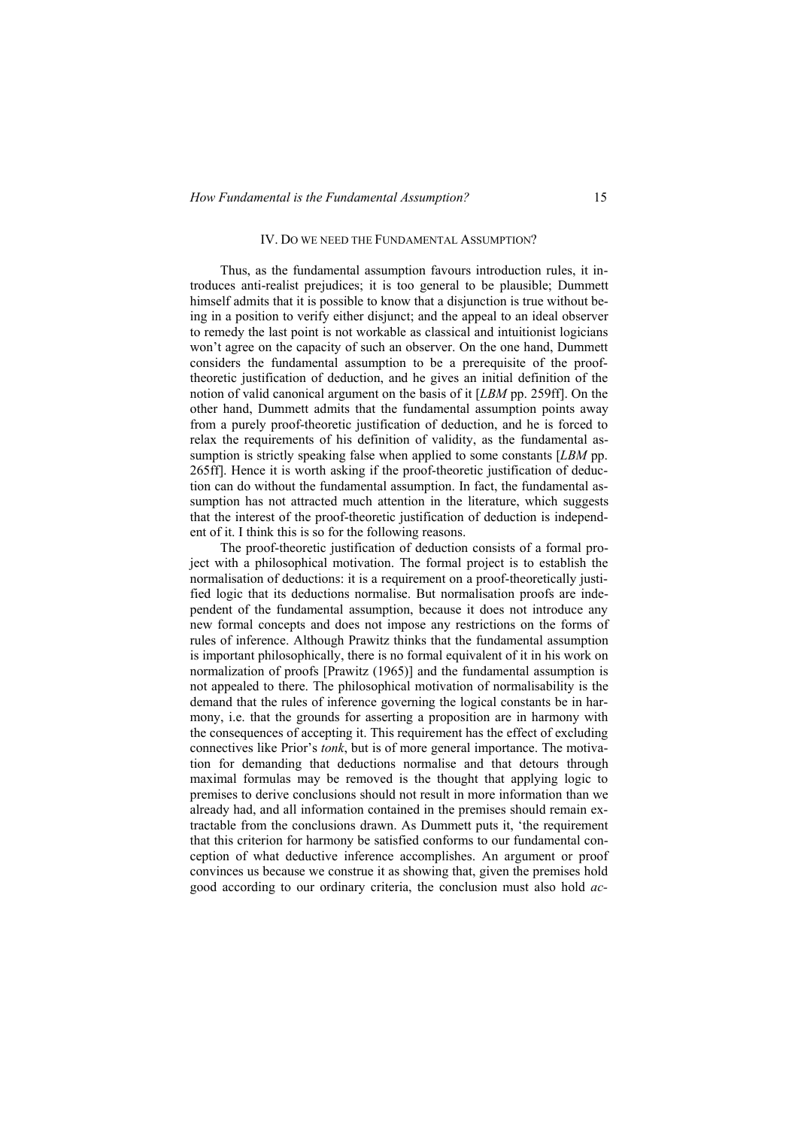### IV. DO WE NEED THE FUNDAMENTAL ASSUMPTION?

Thus, as the fundamental assumption favours introduction rules, it introduces anti-realist prejudices; it is too general to be plausible; Dummett himself admits that it is possible to know that a disjunction is true without being in a position to verify either disjunct; and the appeal to an ideal observer to remedy the last point is not workable as classical and intuitionist logicians won't agree on the capacity of such an observer. On the one hand, Dummett considers the fundamental assumption to be a prerequisite of the prooftheoretic justification of deduction, and he gives an initial definition of the notion of valid canonical argument on the basis of it [*LBM* pp. 259ff]. On the other hand, Dummett admits that the fundamental assumption points away from a purely proof-theoretic justification of deduction, and he is forced to relax the requirements of his definition of validity, as the fundamental assumption is strictly speaking false when applied to some constants [*LBM* pp. 265ff]. Hence it is worth asking if the proof-theoretic justification of deduction can do without the fundamental assumption. In fact, the fundamental assumption has not attracted much attention in the literature, which suggests that the interest of the proof-theoretic justification of deduction is independent of it. I think this is so for the following reasons.

The proof-theoretic justification of deduction consists of a formal project with a philosophical motivation. The formal project is to establish the normalisation of deductions: it is a requirement on a proof-theoretically justified logic that its deductions normalise. But normalisation proofs are independent of the fundamental assumption, because it does not introduce any new formal concepts and does not impose any restrictions on the forms of rules of inference. Although Prawitz thinks that the fundamental assumption is important philosophically, there is no formal equivalent of it in his work on normalization of proofs [Prawitz (1965)] and the fundamental assumption is not appealed to there. The philosophical motivation of normalisability is the demand that the rules of inference governing the logical constants be in harmony, i.e. that the grounds for asserting a proposition are in harmony with the consequences of accepting it. This requirement has the effect of excluding connectives like Prior's *tonk*, but is of more general importance. The motivation for demanding that deductions normalise and that detours through maximal formulas may be removed is the thought that applying logic to premises to derive conclusions should not result in more information than we already had, and all information contained in the premises should remain extractable from the conclusions drawn. As Dummett puts it, 'the requirement that this criterion for harmony be satisfied conforms to our fundamental conception of what deductive inference accomplishes. An argument or proof convinces us because we construe it as showing that, given the premises hold good according to our ordinary criteria, the conclusion must also hold *ac-*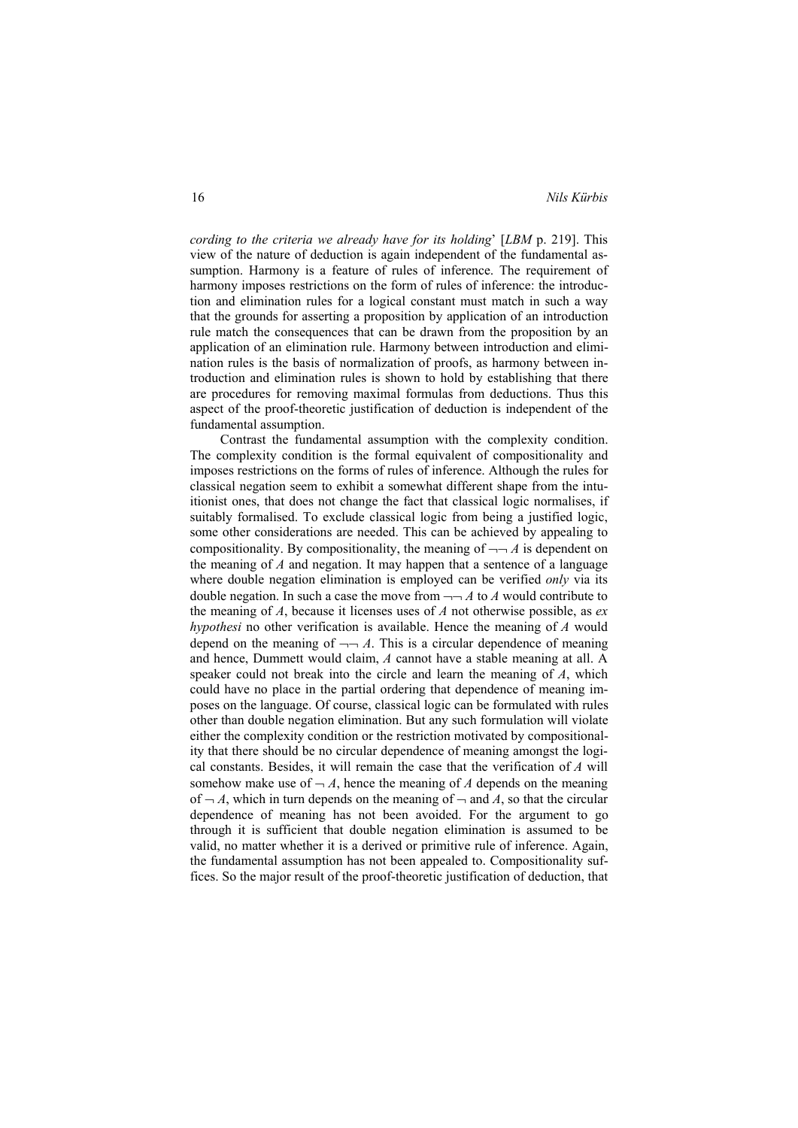*cording to the criteria we already have for its holding*' [*LBM* p. 219]. This view of the nature of deduction is again independent of the fundamental assumption. Harmony is a feature of rules of inference. The requirement of harmony imposes restrictions on the form of rules of inference: the introduction and elimination rules for a logical constant must match in such a way that the grounds for asserting a proposition by application of an introduction rule match the consequences that can be drawn from the proposition by an application of an elimination rule. Harmony between introduction and elimination rules is the basis of normalization of proofs, as harmony between introduction and elimination rules is shown to hold by establishing that there are procedures for removing maximal formulas from deductions. Thus this aspect of the proof-theoretic justification of deduction is independent of the fundamental assumption.

Contrast the fundamental assumption with the complexity condition. The complexity condition is the formal equivalent of compositionality and imposes restrictions on the forms of rules of inference. Although the rules for classical negation seem to exhibit a somewhat different shape from the intuitionist ones, that does not change the fact that classical logic normalises, if suitably formalised. To exclude classical logic from being a justified logic, some other considerations are needed. This can be achieved by appealing to compositionality. By compositionality, the meaning of  $\neg\neg A$  is dependent on the meaning of *A* and negation. It may happen that a sentence of a language where double negation elimination is employed can be verified *only* via its double negation. In such a case the move from  $\neg\neg A$  to A would contribute to the meaning of *A*, because it licenses uses of *A* not otherwise possible, as *ex hypothesi* no other verification is available. Hence the meaning of *A* would depend on the meaning of  $\neg\neg A$ . This is a circular dependence of meaning and hence, Dummett would claim, *A* cannot have a stable meaning at all. A speaker could not break into the circle and learn the meaning of *A*, which could have no place in the partial ordering that dependence of meaning imposes on the language. Of course, classical logic can be formulated with rules other than double negation elimination. But any such formulation will violate either the complexity condition or the restriction motivated by compositionality that there should be no circular dependence of meaning amongst the logical constants. Besides, it will remain the case that the verification of *A* will somehow make use of  $-A$ , hence the meaning of *A* depends on the meaning of  $\neg A$ , which in turn depends on the meaning of  $\neg$  and A, so that the circular dependence of meaning has not been avoided. For the argument to go through it is sufficient that double negation elimination is assumed to be valid, no matter whether it is a derived or primitive rule of inference. Again, the fundamental assumption has not been appealed to. Compositionality suffices. So the major result of the proof-theoretic justification of deduction, that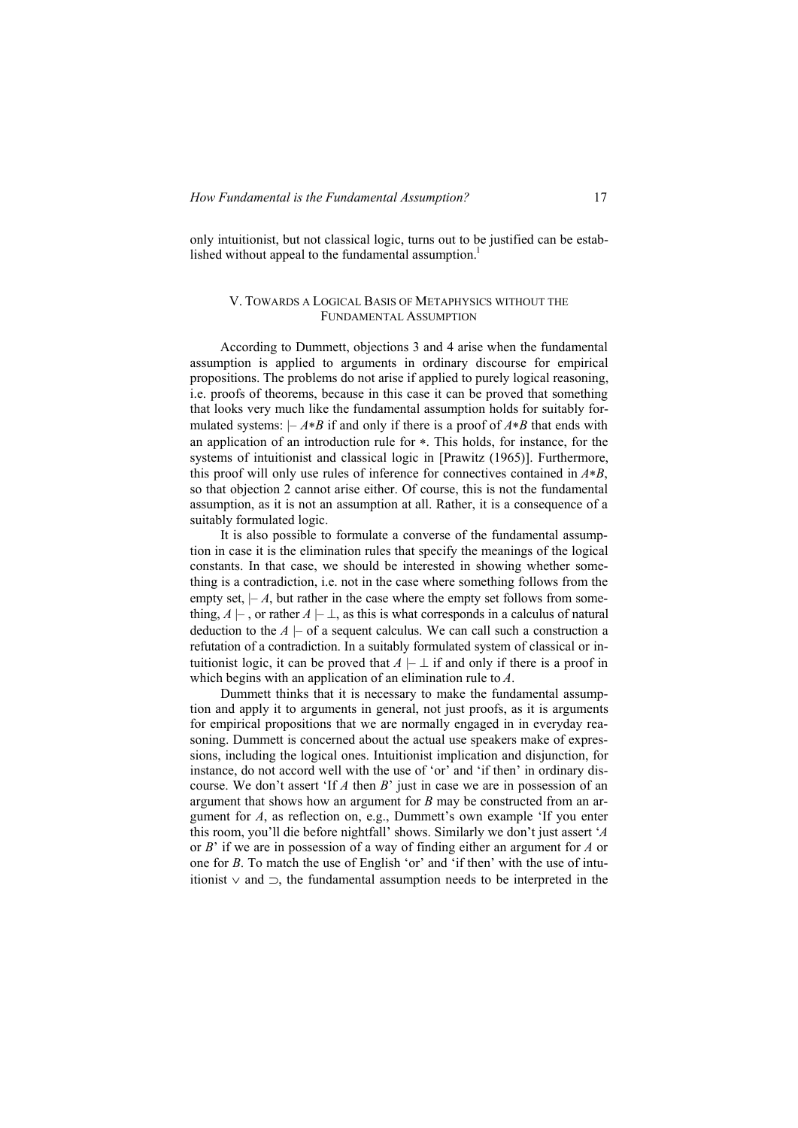only intuitionist, but not classical logic, turns out to be justified can be established without appeal to the fundamental assumption. $<sup>1</sup>$ </sup>

# V. TOWARDS A LOGICAL BASIS OF METAPHYSICS WITHOUT THE FUNDAMENTAL ASSUMPTION

According to Dummett, objections 3 and 4 arise when the fundamental assumption is applied to arguments in ordinary discourse for empirical propositions. The problems do not arise if applied to purely logical reasoning, i.e. proofs of theorems, because in this case it can be proved that something that looks very much like the fundamental assumption holds for suitably formulated systems:  $- A * B$  if and only if there is a proof of  $A * B$  that ends with an application of an introduction rule for  $\ast$ . This holds, for instance, for the systems of intuitionist and classical logic in [Prawitz (1965)]. Furthermore, this proof will only use rules of inference for connectives contained in  $A*B$ , so that objection 2 cannot arise either. Of course, this is not the fundamental assumption, as it is not an assumption at all. Rather, it is a consequence of a suitably formulated logic.

It is also possible to formulate a converse of the fundamental assumption in case it is the elimination rules that specify the meanings of the logical constants. In that case, we should be interested in showing whether something is a contradiction, i.e. not in the case where something follows from the empty set,  $-A$ , but rather in the case where the empty set follows from something,  $A \vdash$ , or rather  $A \vdash \bot$ , as this is what corresponds in a calculus of natural deduction to the  $A \models$  of a sequent calculus. We can call such a construction a refutation of a contradiction. In a suitably formulated system of classical or intuitionist logic, it can be proved that  $A \vdash \bot$  if and only if there is a proof in which begins with an application of an elimination rule to *A*.

Dummett thinks that it is necessary to make the fundamental assumption and apply it to arguments in general, not just proofs, as it is arguments for empirical propositions that we are normally engaged in in everyday reasoning. Dummett is concerned about the actual use speakers make of expressions, including the logical ones. Intuitionist implication and disjunction, for instance, do not accord well with the use of 'or' and 'if then' in ordinary discourse. We don't assert 'If *A* then *B*' just in case we are in possession of an argument that shows how an argument for *B* may be constructed from an argument for *A*, as reflection on, e.g., Dummett's own example 'If you enter this room, you'll die before nightfall' shows. Similarly we don't just assert '*A* or *B*' if we are in possession of a way of finding either an argument for *A* or one for *B*. To match the use of English 'or' and 'if then' with the use of intuitionist  $\vee$  and  $\supset$ , the fundamental assumption needs to be interpreted in the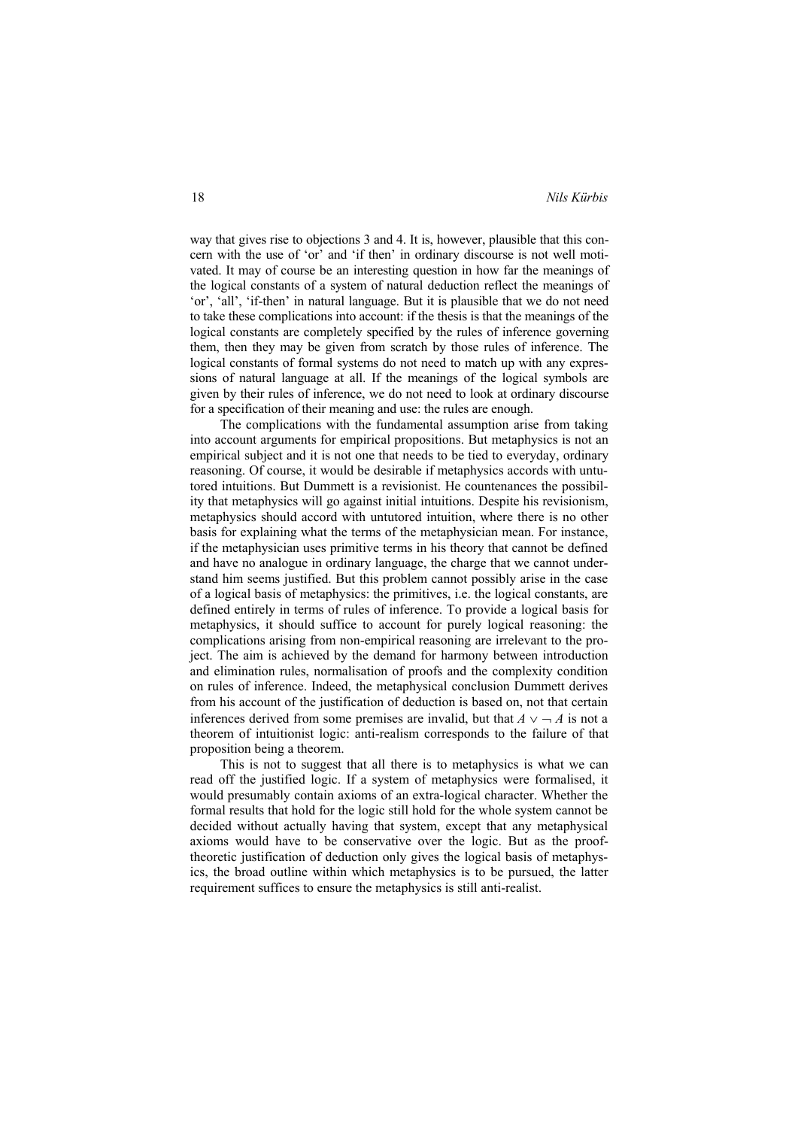way that gives rise to objections 3 and 4. It is, however, plausible that this concern with the use of 'or' and 'if then' in ordinary discourse is not well motivated. It may of course be an interesting question in how far the meanings of the logical constants of a system of natural deduction reflect the meanings of 'or', 'all', 'if-then' in natural language. But it is plausible that we do not need to take these complications into account: if the thesis is that the meanings of the logical constants are completely specified by the rules of inference governing them, then they may be given from scratch by those rules of inference. The logical constants of formal systems do not need to match up with any expressions of natural language at all. If the meanings of the logical symbols are given by their rules of inference, we do not need to look at ordinary discourse for a specification of their meaning and use: the rules are enough.

The complications with the fundamental assumption arise from taking into account arguments for empirical propositions. But metaphysics is not an empirical subject and it is not one that needs to be tied to everyday, ordinary reasoning. Of course, it would be desirable if metaphysics accords with untutored intuitions. But Dummett is a revisionist. He countenances the possibility that metaphysics will go against initial intuitions. Despite his revisionism, metaphysics should accord with untutored intuition, where there is no other basis for explaining what the terms of the metaphysician mean. For instance, if the metaphysician uses primitive terms in his theory that cannot be defined and have no analogue in ordinary language, the charge that we cannot understand him seems justified. But this problem cannot possibly arise in the case of a logical basis of metaphysics: the primitives, i.e. the logical constants, are defined entirely in terms of rules of inference. To provide a logical basis for metaphysics, it should suffice to account for purely logical reasoning: the complications arising from non-empirical reasoning are irrelevant to the project. The aim is achieved by the demand for harmony between introduction and elimination rules, normalisation of proofs and the complexity condition on rules of inference. Indeed, the metaphysical conclusion Dummett derives from his account of the justification of deduction is based on, not that certain inferences derived from some premises are invalid, but that  $A \vee A$  is not a theorem of intuitionist logic: anti-realism corresponds to the failure of that proposition being a theorem.

This is not to suggest that all there is to metaphysics is what we can read off the justified logic. If a system of metaphysics were formalised, it would presumably contain axioms of an extra-logical character. Whether the formal results that hold for the logic still hold for the whole system cannot be decided without actually having that system, except that any metaphysical axioms would have to be conservative over the logic. But as the prooftheoretic justification of deduction only gives the logical basis of metaphysics, the broad outline within which metaphysics is to be pursued, the latter requirement suffices to ensure the metaphysics is still anti-realist.